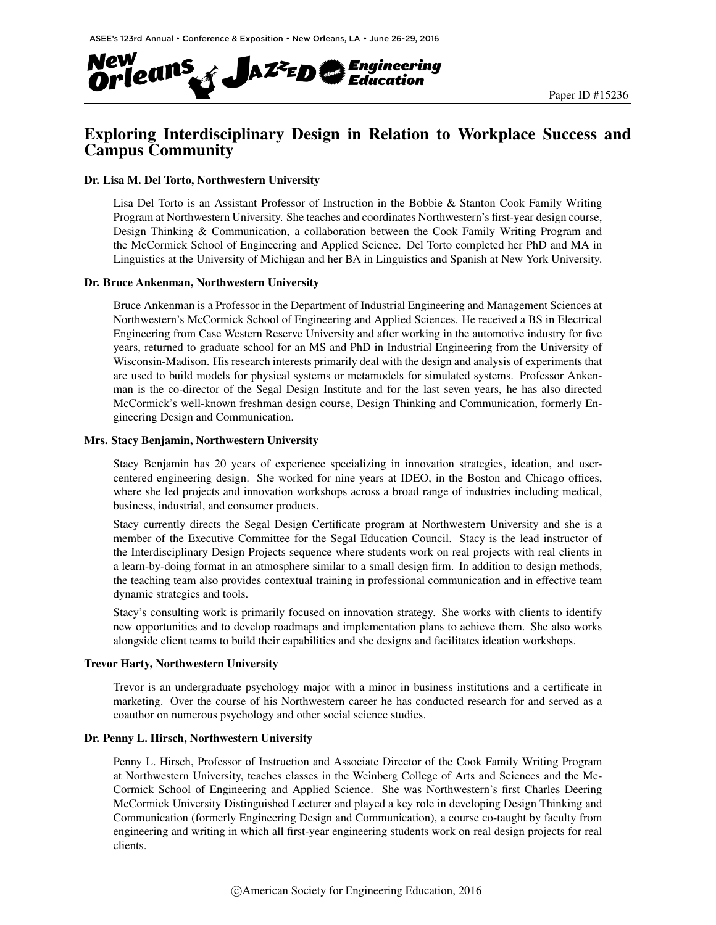

# Exploring Interdisciplinary Design in Relation to Workplace Success and Campus Community

## Dr. Lisa M. Del Torto, Northwestern University

Lisa Del Torto is an Assistant Professor of Instruction in the Bobbie & Stanton Cook Family Writing Program at Northwestern University. She teaches and coordinates Northwestern's first-year design course, Design Thinking & Communication, a collaboration between the Cook Family Writing Program and the McCormick School of Engineering and Applied Science. Del Torto completed her PhD and MA in Linguistics at the University of Michigan and her BA in Linguistics and Spanish at New York University.

### Dr. Bruce Ankenman, Northwestern University

Bruce Ankenman is a Professor in the Department of Industrial Engineering and Management Sciences at Northwestern's McCormick School of Engineering and Applied Sciences. He received a BS in Electrical Engineering from Case Western Reserve University and after working in the automotive industry for five years, returned to graduate school for an MS and PhD in Industrial Engineering from the University of Wisconsin-Madison. His research interests primarily deal with the design and analysis of experiments that are used to build models for physical systems or metamodels for simulated systems. Professor Ankenman is the co-director of the Segal Design Institute and for the last seven years, he has also directed McCormick's well-known freshman design course, Design Thinking and Communication, formerly Engineering Design and Communication.

#### Mrs. Stacy Benjamin, Northwestern University

Stacy Benjamin has 20 years of experience specializing in innovation strategies, ideation, and usercentered engineering design. She worked for nine years at IDEO, in the Boston and Chicago offices, where she led projects and innovation workshops across a broad range of industries including medical, business, industrial, and consumer products.

Stacy currently directs the Segal Design Certificate program at Northwestern University and she is a member of the Executive Committee for the Segal Education Council. Stacy is the lead instructor of the Interdisciplinary Design Projects sequence where students work on real projects with real clients in a learn-by-doing format in an atmosphere similar to a small design firm. In addition to design methods, the teaching team also provides contextual training in professional communication and in effective team dynamic strategies and tools.

Stacy's consulting work is primarily focused on innovation strategy. She works with clients to identify new opportunities and to develop roadmaps and implementation plans to achieve them. She also works alongside client teams to build their capabilities and she designs and facilitates ideation workshops.

#### Trevor Harty, Northwestern University

Trevor is an undergraduate psychology major with a minor in business institutions and a certificate in marketing. Over the course of his Northwestern career he has conducted research for and served as a coauthor on numerous psychology and other social science studies.

## Dr. Penny L. Hirsch, Northwestern University

Penny L. Hirsch, Professor of Instruction and Associate Director of the Cook Family Writing Program at Northwestern University, teaches classes in the Weinberg College of Arts and Sciences and the Mc-Cormick School of Engineering and Applied Science. She was Northwestern's first Charles Deering McCormick University Distinguished Lecturer and played a key role in developing Design Thinking and Communication (formerly Engineering Design and Communication), a course co-taught by faculty from engineering and writing in which all first-year engineering students work on real design projects for real clients.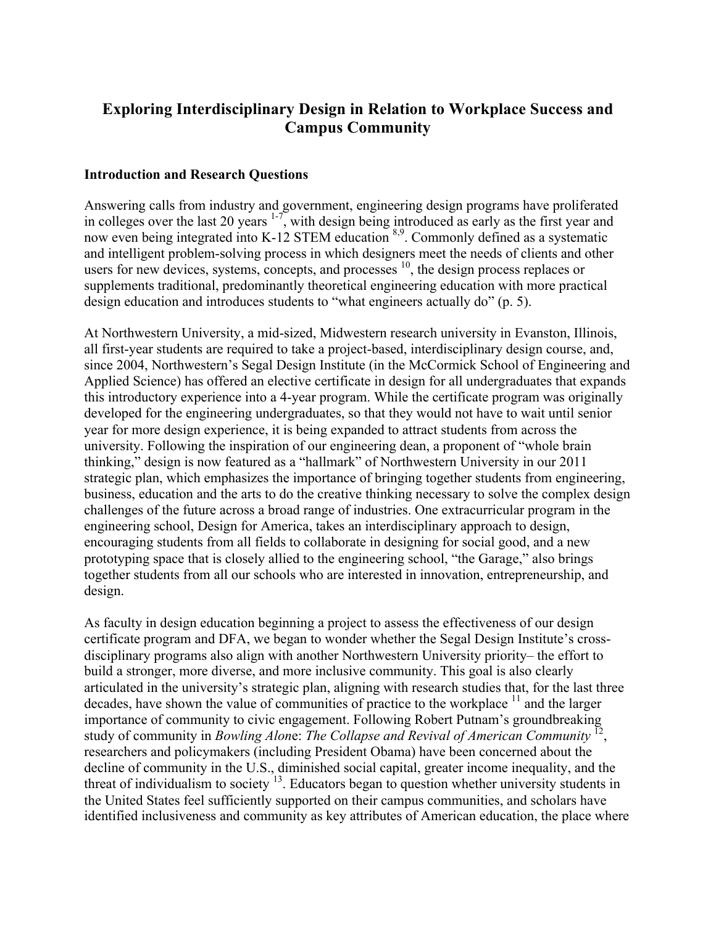# **Exploring Interdisciplinary Design in Relation to Workplace Success and Campus Community**

# **Introduction and Research Questions**

Answering calls from industry and government, engineering design programs have proliferated in colleges over the last 20 years  $1.7$ , with design being introduced as early as the first year and now even being integrated into K-12 STEM education <sup>8,9</sup>. Commonly defined as a systematic and intelligent problem-solving process in which designers meet the needs of clients and other users for new devices, systems, concepts, and processes  $10$ , the design process replaces or supplements traditional, predominantly theoretical engineering education with more practical design education and introduces students to "what engineers actually do" (p. 5).

At Northwestern University, a mid-sized, Midwestern research university in Evanston, Illinois, all first-year students are required to take a project-based, interdisciplinary design course, and, since 2004, Northwestern's Segal Design Institute (in the McCormick School of Engineering and Applied Science) has offered an elective certificate in design for all undergraduates that expands this introductory experience into a 4-year program. While the certificate program was originally developed for the engineering undergraduates, so that they would not have to wait until senior year for more design experience, it is being expanded to attract students from across the university. Following the inspiration of our engineering dean, a proponent of "whole brain thinking," design is now featured as a "hallmark" of Northwestern University in our 2011 strategic plan, which emphasizes the importance of bringing together students from engineering, business, education and the arts to do the creative thinking necessary to solve the complex design challenges of the future across a broad range of industries. One extracurricular program in the engineering school, Design for America, takes an interdisciplinary approach to design, encouraging students from all fields to collaborate in designing for social good, and a new prototyping space that is closely allied to the engineering school, "the Garage," also brings together students from all our schools who are interested in innovation, entrepreneurship, and design.

As faculty in design education beginning a project to assess the effectiveness of our design certificate program and DFA, we began to wonder whether the Segal Design Institute's crossdisciplinary programs also align with another Northwestern University priority– the effort to build a stronger, more diverse, and more inclusive community. This goal is also clearly articulated in the university's strategic plan, aligning with research studies that, for the last three decades, have shown the value of communities of practice to the workplace  $\frac{11}{11}$  and the larger importance of community to civic engagement. Following Robert Putnam's groundbreaking study of community in *Bowling Alon*e: *The Collapse and Revival of American Community* 12, researchers and policymakers (including President Obama) have been concerned about the decline of community in the U.S., diminished social capital, greater income inequality, and the threat of individualism to society <sup>13</sup>. Educators began to question whether university students in the United States feel sufficiently supported on their campus communities, and scholars have identified inclusiveness and community as key attributes of American education, the place where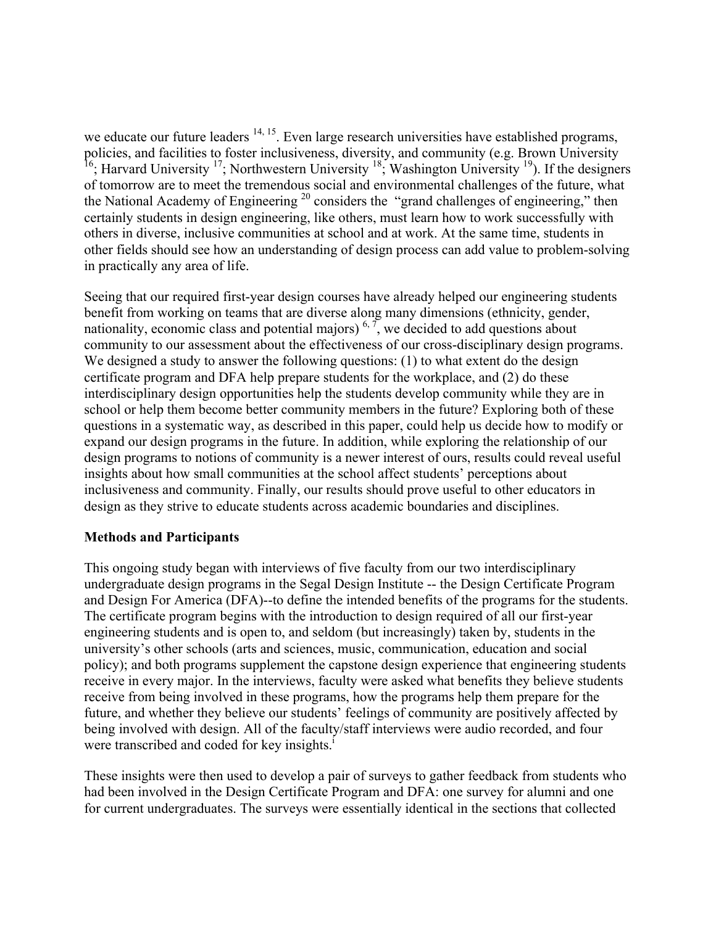we educate our future leaders  $14, 15$ . Even large research universities have established programs, policies, and facilities to foster inclusiveness, diversity, and community (e.g. Brown University <sup>16</sup>; Harvard University <sup>17</sup>; Northwestern University <sup>18</sup>; Washington University <sup>19</sup>). If the designers of tomorrow are to meet the tremendous social and environmental challenges of the future, what the National Academy of Engineering  $20$  considers the "grand challenges of engineering," then certainly students in design engineering, like others, must learn how to work successfully with others in diverse, inclusive communities at school and at work. At the same time, students in other fields should see how an understanding of design process can add value to problem-solving in practically any area of life.

Seeing that our required first-year design courses have already helped our engineering students benefit from working on teams that are diverse along many dimensions (ethnicity, gender, nationality, economic class and potential majors)<sup>6,7</sup>, we decided to add questions about community to our assessment about the effectiveness of our cross-disciplinary design programs. We designed a study to answer the following questions: (1) to what extent do the design certificate program and DFA help prepare students for the workplace, and (2) do these interdisciplinary design opportunities help the students develop community while they are in school or help them become better community members in the future? Exploring both of these questions in a systematic way, as described in this paper, could help us decide how to modify or expand our design programs in the future. In addition, while exploring the relationship of our design programs to notions of community is a newer interest of ours, results could reveal useful insights about how small communities at the school affect students' perceptions about inclusiveness and community. Finally, our results should prove useful to other educators in design as they strive to educate students across academic boundaries and disciplines.

# **Methods and Participants**

This ongoing study began with interviews of five faculty from our two interdisciplinary undergraduate design programs in the Segal Design Institute -- the Design Certificate Program and Design For America (DFA)--to define the intended benefits of the programs for the students. The certificate program begins with the introduction to design required of all our first-year engineering students and is open to, and seldom (but increasingly) taken by, students in the university's other schools (arts and sciences, music, communication, education and social policy); and both programs supplement the capstone design experience that engineering students receive in every major. In the interviews, faculty were asked what benefits they believe students receive from being involved in these programs, how the programs help them prepare for the future, and whether they believe our students' feelings of community are positively affected by being involved with design. All of the faculty/staff interviews were audio recorded, and four were transcribed and coded for key insights.<sup>1</sup>

These insights were then used to develop a pair of surveys to gather feedback from students who had been involved in the Design Certificate Program and DFA: one survey for alumni and one for current undergraduates. The surveys were essentially identical in the sections that collected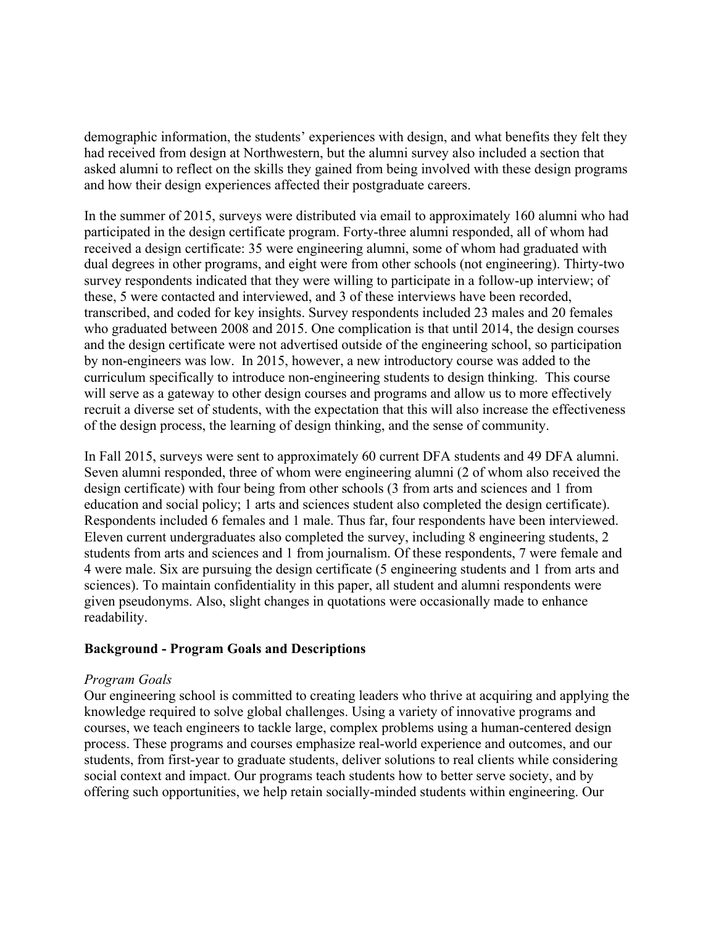demographic information, the students' experiences with design, and what benefits they felt they had received from design at Northwestern, but the alumni survey also included a section that asked alumni to reflect on the skills they gained from being involved with these design programs and how their design experiences affected their postgraduate careers.

In the summer of 2015, surveys were distributed via email to approximately 160 alumni who had participated in the design certificate program. Forty-three alumni responded, all of whom had received a design certificate: 35 were engineering alumni, some of whom had graduated with dual degrees in other programs, and eight were from other schools (not engineering). Thirty-two survey respondents indicated that they were willing to participate in a follow-up interview; of these, 5 were contacted and interviewed, and 3 of these interviews have been recorded, transcribed, and coded for key insights. Survey respondents included 23 males and 20 females who graduated between 2008 and 2015. One complication is that until 2014, the design courses and the design certificate were not advertised outside of the engineering school, so participation by non-engineers was low. In 2015, however, a new introductory course was added to the curriculum specifically to introduce non-engineering students to design thinking. This course will serve as a gateway to other design courses and programs and allow us to more effectively recruit a diverse set of students, with the expectation that this will also increase the effectiveness of the design process, the learning of design thinking, and the sense of community.

In Fall 2015, surveys were sent to approximately 60 current DFA students and 49 DFA alumni. Seven alumni responded, three of whom were engineering alumni (2 of whom also received the design certificate) with four being from other schools (3 from arts and sciences and 1 from education and social policy; 1 arts and sciences student also completed the design certificate). Respondents included 6 females and 1 male. Thus far, four respondents have been interviewed. Eleven current undergraduates also completed the survey, including 8 engineering students, 2 students from arts and sciences and 1 from journalism. Of these respondents, 7 were female and 4 were male. Six are pursuing the design certificate (5 engineering students and 1 from arts and sciences). To maintain confidentiality in this paper, all student and alumni respondents were given pseudonyms. Also, slight changes in quotations were occasionally made to enhance readability.

# **Background - Program Goals and Descriptions**

## *Program Goals*

Our engineering school is committed to creating leaders who thrive at acquiring and applying the knowledge required to solve global challenges. Using a variety of innovative programs and courses, we teach engineers to tackle large, complex problems using a human-centered design process. These programs and courses emphasize real-world experience and outcomes, and our students, from first-year to graduate students, deliver solutions to real clients while considering social context and impact. Our programs teach students how to better serve society, and by offering such opportunities, we help retain socially-minded students within engineering. Our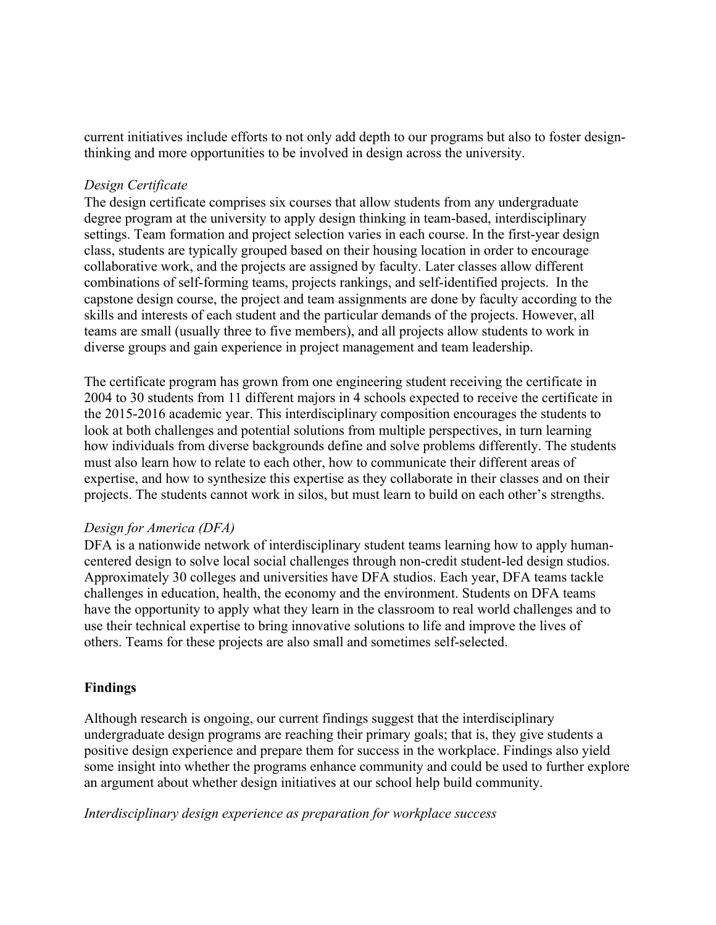current initiatives include efforts to not only add depth to our programs but also to foster designthinking and more opportunities to be involved in design across the university.

# *Design Certificate*

The design certificate comprises six courses that allow students from any undergraduate degree program at the university to apply design thinking in team-based, interdisciplinary settings. Team formation and project selection varies in each course. In the first-year design class, students are typically grouped based on their housing location in order to encourage collaborative work, and the projects are assigned by faculty. Later classes allow different combinations of self-forming teams, projects rankings, and self-identified projects. In the capstone design course, the project and team assignments are done by faculty according to the skills and interests of each student and the particular demands of the projects. However, all teams are small (usually three to five members), and all projects allow students to work in diverse groups and gain experience in project management and team leadership.

The certificate program has grown from one engineering student receiving the certificate in 2004 to 30 students from 11 different majors in 4 schools expected to receive the certificate in the 2015-2016 academic year. This interdisciplinary composition encourages the students to look at both challenges and potential solutions from multiple perspectives, in turn learning how individuals from diverse backgrounds define and solve problems differently. The students must also learn how to relate to each other, how to communicate their different areas of expertise, and how to synthesize this expertise as they collaborate in their classes and on their projects. The students cannot work in silos, but must learn to build on each other's strengths.

# *Design for America (DFA)*

DFA is a nationwide network of interdisciplinary student teams learning how to apply humancentered design to solve local social challenges through non-credit student-led design studios. Approximately 30 colleges and universities have DFA studios. Each year, DFA teams tackle challenges in education, health, the economy and the environment. Students on DFA teams have the opportunity to apply what they learn in the classroom to real world challenges and to use their technical expertise to bring innovative solutions to life and improve the lives of others. Teams for these projects are also small and sometimes self-selected.

# **Findings**

Although research is ongoing, our current findings suggest that the interdisciplinary undergraduate design programs are reaching their primary goals; that is, they give students a positive design experience and prepare them for success in the workplace. Findings also yield some insight into whether the programs enhance community and could be used to further explore an argument about whether design initiatives at our school help build community.

*Interdisciplinary design experience as preparation for workplace success*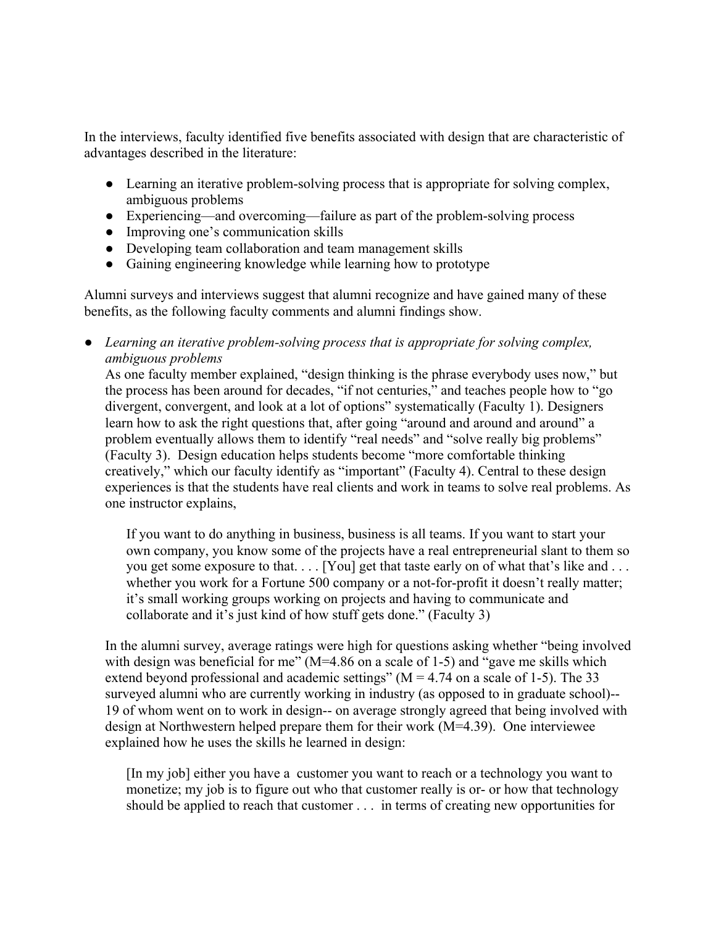In the interviews, faculty identified five benefits associated with design that are characteristic of advantages described in the literature:

- Learning an iterative problem-solving process that is appropriate for solving complex, ambiguous problems
- Experiencing—and overcoming—failure as part of the problem-solving process
- Improving one's communication skills
- Developing team collaboration and team management skills
- Gaining engineering knowledge while learning how to prototype

Alumni surveys and interviews suggest that alumni recognize and have gained many of these benefits, as the following faculty comments and alumni findings show.

● *Learning an iterative problem-solving process that is appropriate for solving complex, ambiguous problems* 

As one faculty member explained, "design thinking is the phrase everybody uses now," but the process has been around for decades, "if not centuries," and teaches people how to "go divergent, convergent, and look at a lot of options" systematically (Faculty 1). Designers learn how to ask the right questions that, after going "around and around and around" a problem eventually allows them to identify "real needs" and "solve really big problems" (Faculty 3). Design education helps students become "more comfortable thinking creatively," which our faculty identify as "important" (Faculty 4). Central to these design experiences is that the students have real clients and work in teams to solve real problems. As one instructor explains,

If you want to do anything in business, business is all teams. If you want to start your own company, you know some of the projects have a real entrepreneurial slant to them so you get some exposure to that. . . . [You] get that taste early on of what that's like and . . . whether you work for a Fortune 500 company or a not-for-profit it doesn't really matter; it's small working groups working on projects and having to communicate and collaborate and it's just kind of how stuff gets done." (Faculty 3)

In the alumni survey, average ratings were high for questions asking whether "being involved with design was beneficial for me"  $(M=4.86$  on a scale of 1-5) and "gave me skills which extend beyond professional and academic settings" ( $M = 4.74$  on a scale of 1-5). The 33 surveyed alumni who are currently working in industry (as opposed to in graduate school)-- 19 of whom went on to work in design-- on average strongly agreed that being involved with design at Northwestern helped prepare them for their work (M=4.39). One interviewee explained how he uses the skills he learned in design:

[In my job] either you have a customer you want to reach or a technology you want to monetize; my job is to figure out who that customer really is or- or how that technology should be applied to reach that customer . . . in terms of creating new opportunities for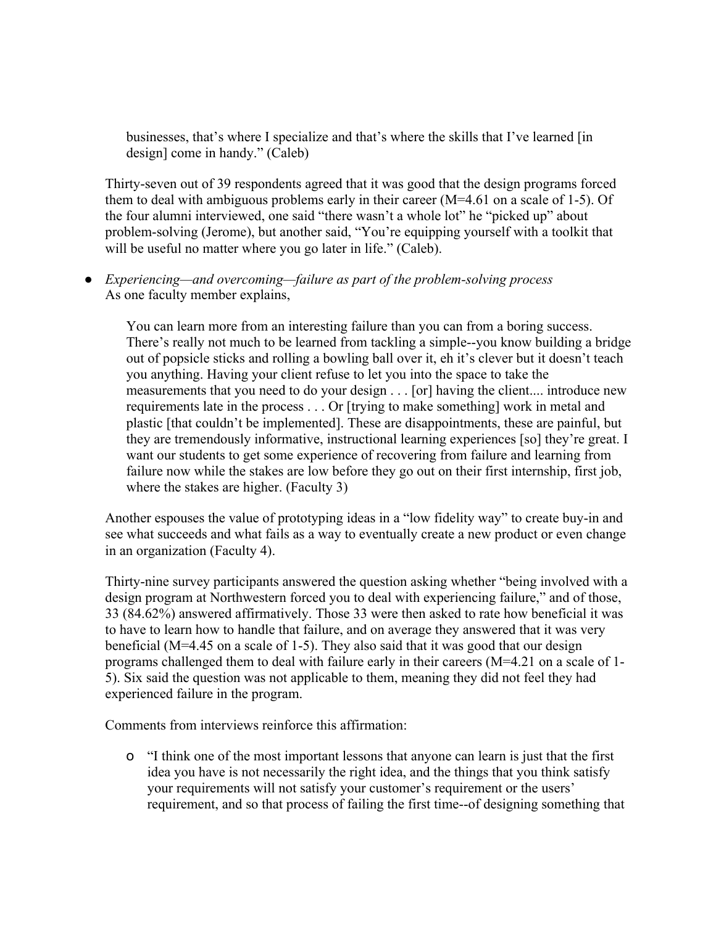businesses, that's where I specialize and that's where the skills that I've learned [in design] come in handy." (Caleb)

Thirty-seven out of 39 respondents agreed that it was good that the design programs forced them to deal with ambiguous problems early in their career (M=4.61 on a scale of 1-5). Of the four alumni interviewed, one said "there wasn't a whole lot" he "picked up" about problem-solving (Jerome), but another said, "You're equipping yourself with a toolkit that will be useful no matter where you go later in life." (Caleb).

● *Experiencing—and overcoming—failure as part of the problem-solving process*  As one faculty member explains,

You can learn more from an interesting failure than you can from a boring success. There's really not much to be learned from tackling a simple--you know building a bridge out of popsicle sticks and rolling a bowling ball over it, eh it's clever but it doesn't teach you anything. Having your client refuse to let you into the space to take the measurements that you need to do your design . . . [or] having the client.... introduce new requirements late in the process . . . Or [trying to make something] work in metal and plastic [that couldn't be implemented]. These are disappointments, these are painful, but they are tremendously informative, instructional learning experiences [so] they're great. I want our students to get some experience of recovering from failure and learning from failure now while the stakes are low before they go out on their first internship, first job, where the stakes are higher. (Faculty 3)

Another espouses the value of prototyping ideas in a "low fidelity way" to create buy-in and see what succeeds and what fails as a way to eventually create a new product or even change in an organization (Faculty 4).

Thirty-nine survey participants answered the question asking whether "being involved with a design program at Northwestern forced you to deal with experiencing failure," and of those, 33 (84.62%) answered affirmatively. Those 33 were then asked to rate how beneficial it was to have to learn how to handle that failure, and on average they answered that it was very beneficial (M=4.45 on a scale of 1-5). They also said that it was good that our design programs challenged them to deal with failure early in their careers (M=4.21 on a scale of 1- 5). Six said the question was not applicable to them, meaning they did not feel they had experienced failure in the program.

Comments from interviews reinforce this affirmation:

o "I think one of the most important lessons that anyone can learn is just that the first idea you have is not necessarily the right idea, and the things that you think satisfy your requirements will not satisfy your customer's requirement or the users' requirement, and so that process of failing the first time--of designing something that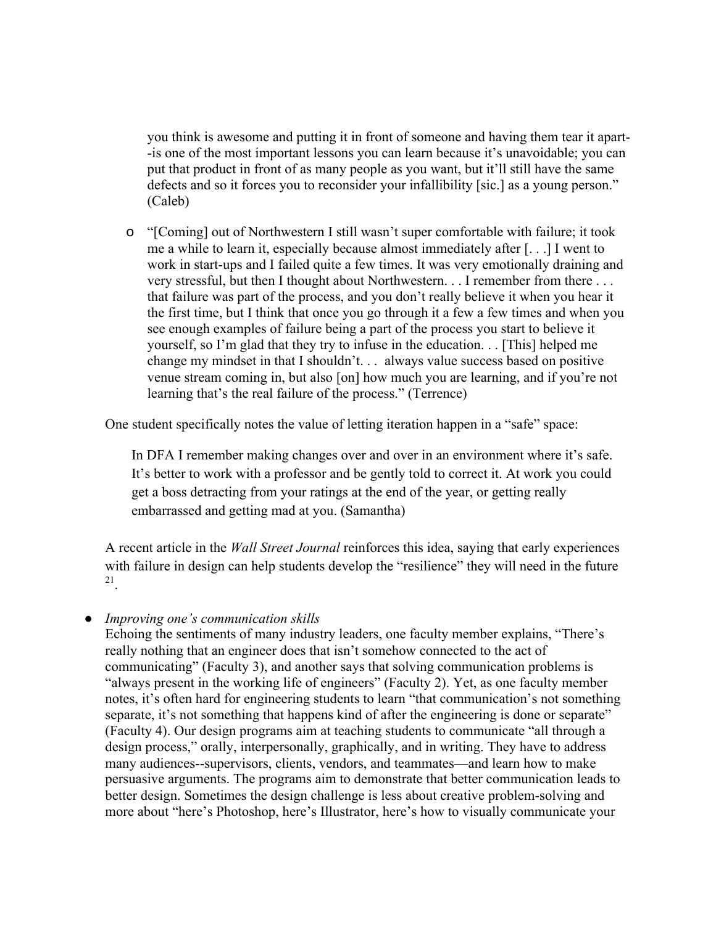you think is awesome and putting it in front of someone and having them tear it apart- -is one of the most important lessons you can learn because it's unavoidable; you can put that product in front of as many people as you want, but it'll still have the same defects and so it forces you to reconsider your infallibility [sic.] as a young person." (Caleb)

o "[Coming] out of Northwestern I still wasn't super comfortable with failure; it took me a while to learn it, especially because almost immediately after [. . .] I went to work in start-ups and I failed quite a few times. It was very emotionally draining and very stressful, but then I thought about Northwestern. . . I remember from there . . . that failure was part of the process, and you don't really believe it when you hear it the first time, but I think that once you go through it a few a few times and when you see enough examples of failure being a part of the process you start to believe it yourself, so I'm glad that they try to infuse in the education. . . [This] helped me change my mindset in that I shouldn't. . . always value success based on positive venue stream coming in, but also [on] how much you are learning, and if you're not learning that's the real failure of the process." (Terrence)

One student specifically notes the value of letting iteration happen in a "safe" space:

In DFA I remember making changes over and over in an environment where it's safe. It's better to work with a professor and be gently told to correct it. At work you could get a boss detracting from your ratings at the end of the year, or getting really embarrassed and getting mad at you. (Samantha)

A recent article in the *Wall Street Journal* reinforces this idea, saying that early experiences with failure in design can help students develop the "resilience" they will need in the future 21.

# ● *Improving one's communication skills*

Echoing the sentiments of many industry leaders, one faculty member explains, "There's really nothing that an engineer does that isn't somehow connected to the act of communicating" (Faculty 3), and another says that solving communication problems is "always present in the working life of engineers" (Faculty 2). Yet, as one faculty member notes, it's often hard for engineering students to learn "that communication's not something separate, it's not something that happens kind of after the engineering is done or separate" (Faculty 4). Our design programs aim at teaching students to communicate "all through a design process," orally, interpersonally, graphically, and in writing. They have to address many audiences--supervisors, clients, vendors, and teammates—and learn how to make persuasive arguments. The programs aim to demonstrate that better communication leads to better design. Sometimes the design challenge is less about creative problem-solving and more about "here's Photoshop, here's Illustrator, here's how to visually communicate your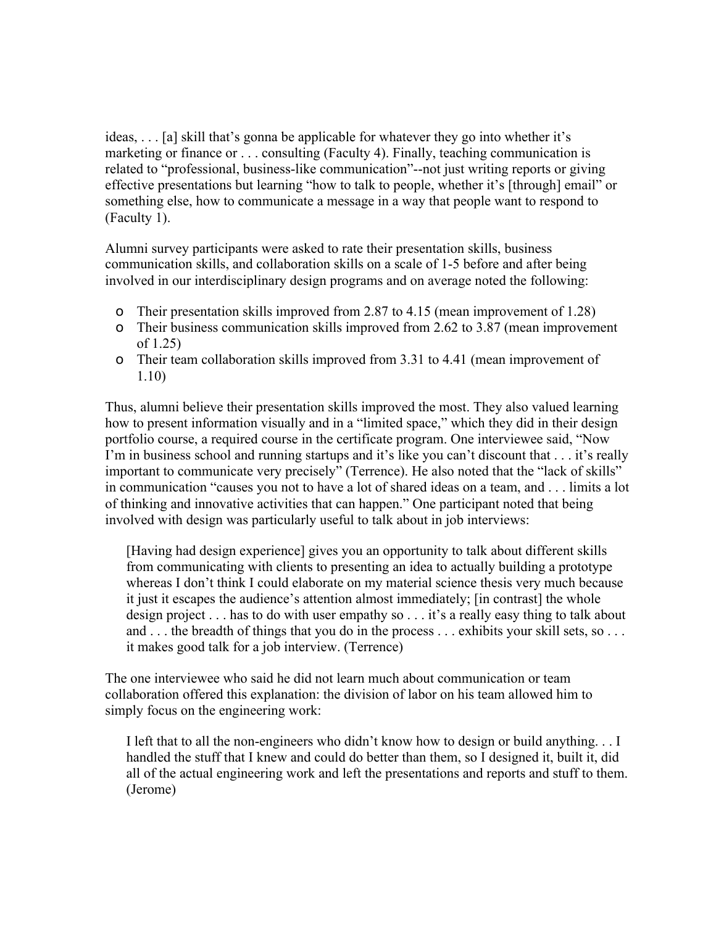ideas, . . . [a] skill that's gonna be applicable for whatever they go into whether it's marketing or finance or . . . consulting (Faculty 4). Finally, teaching communication is related to "professional, business-like communication"--not just writing reports or giving effective presentations but learning "how to talk to people, whether it's [through] email" or something else, how to communicate a message in a way that people want to respond to (Faculty 1).

Alumni survey participants were asked to rate their presentation skills, business communication skills, and collaboration skills on a scale of 1-5 before and after being involved in our interdisciplinary design programs and on average noted the following:

- o Their presentation skills improved from 2.87 to 4.15 (mean improvement of 1.28)
- o Their business communication skills improved from 2.62 to 3.87 (mean improvement of 1.25)
- o Their team collaboration skills improved from 3.31 to 4.41 (mean improvement of 1.10)

Thus, alumni believe their presentation skills improved the most. They also valued learning how to present information visually and in a "limited space," which they did in their design portfolio course, a required course in the certificate program. One interviewee said, "Now I'm in business school and running startups and it's like you can't discount that . . . it's really important to communicate very precisely" (Terrence). He also noted that the "lack of skills" in communication "causes you not to have a lot of shared ideas on a team, and . . . limits a lot of thinking and innovative activities that can happen." One participant noted that being involved with design was particularly useful to talk about in job interviews:

[Having had design experience] gives you an opportunity to talk about different skills from communicating with clients to presenting an idea to actually building a prototype whereas I don't think I could elaborate on my material science thesis very much because it just it escapes the audience's attention almost immediately; [in contrast] the whole design project . . . has to do with user empathy so . . . it's a really easy thing to talk about and . . . the breadth of things that you do in the process . . . exhibits your skill sets, so . . . . it makes good talk for a job interview. (Terrence)

The one interviewee who said he did not learn much about communication or team collaboration offered this explanation: the division of labor on his team allowed him to simply focus on the engineering work:

I left that to all the non-engineers who didn't know how to design or build anything. . . I handled the stuff that I knew and could do better than them, so I designed it, built it, did all of the actual engineering work and left the presentations and reports and stuff to them. (Jerome)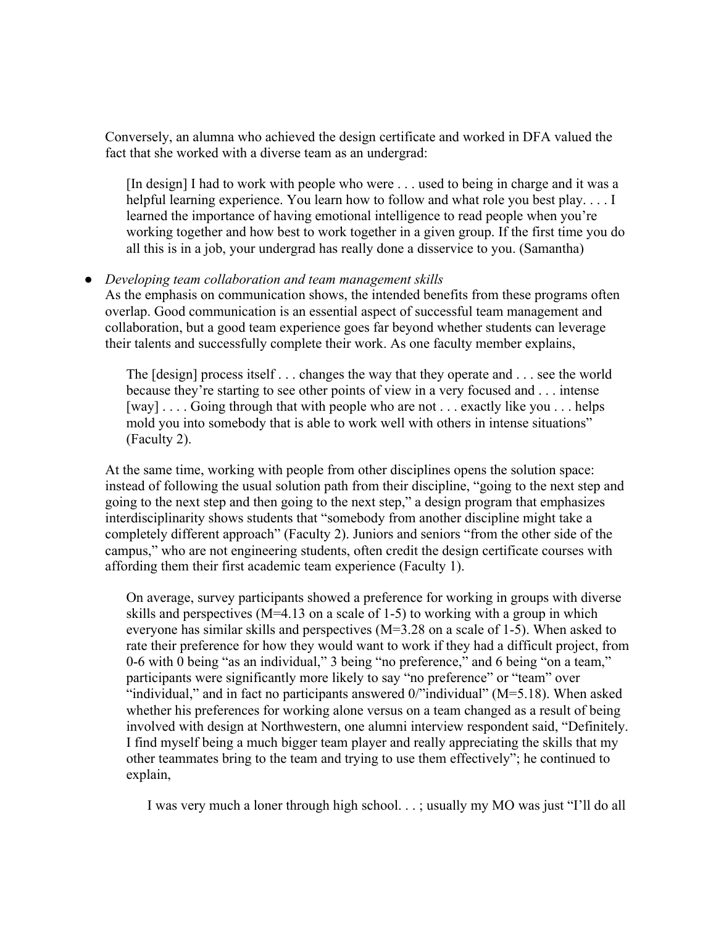Conversely, an alumna who achieved the design certificate and worked in DFA valued the fact that she worked with a diverse team as an undergrad:

[In design] I had to work with people who were . . . used to being in charge and it was a helpful learning experience. You learn how to follow and what role you best play.... I learned the importance of having emotional intelligence to read people when you're working together and how best to work together in a given group. If the first time you do all this is in a job, your undergrad has really done a disservice to you. (Samantha)

# ● *Developing team collaboration and team management skills*

As the emphasis on communication shows, the intended benefits from these programs often overlap. Good communication is an essential aspect of successful team management and collaboration, but a good team experience goes far beyond whether students can leverage their talents and successfully complete their work. As one faculty member explains,

The [design] process itself . . . changes the way that they operate and . . . see the world because they're starting to see other points of view in a very focused and . . . intense [way] . . . . Going through that with people who are not . . . exactly like you . . . helps mold you into somebody that is able to work well with others in intense situations" (Faculty 2).

At the same time, working with people from other disciplines opens the solution space: instead of following the usual solution path from their discipline, "going to the next step and going to the next step and then going to the next step," a design program that emphasizes interdisciplinarity shows students that "somebody from another discipline might take a completely different approach" (Faculty 2). Juniors and seniors "from the other side of the campus," who are not engineering students, often credit the design certificate courses with affording them their first academic team experience (Faculty 1).

On average, survey participants showed a preference for working in groups with diverse skills and perspectives (M=4.13 on a scale of 1-5) to working with a group in which everyone has similar skills and perspectives (M=3.28 on a scale of 1-5). When asked to rate their preference for how they would want to work if they had a difficult project, from 0-6 with 0 being "as an individual," 3 being "no preference," and 6 being "on a team," participants were significantly more likely to say "no preference" or "team" over "individual," and in fact no participants answered  $0$ "individual" (M=5.18). When asked whether his preferences for working alone versus on a team changed as a result of being involved with design at Northwestern, one alumni interview respondent said, "Definitely. I find myself being a much bigger team player and really appreciating the skills that my other teammates bring to the team and trying to use them effectively"; he continued to explain,

I was very much a loner through high school. . . ; usually my MO was just "I'll do all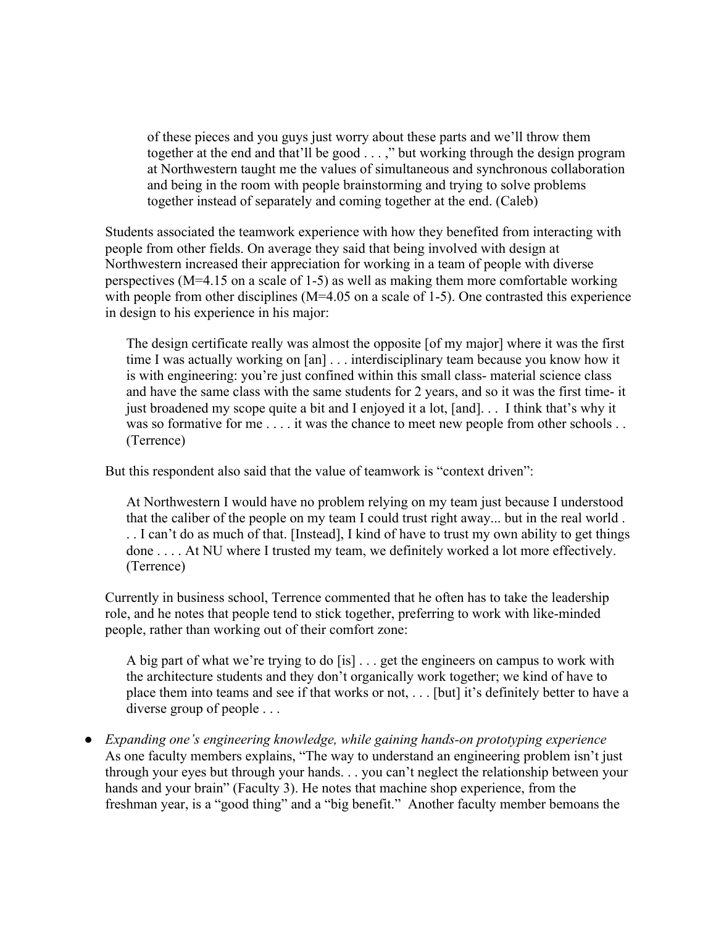of these pieces and you guys just worry about these parts and we'll throw them together at the end and that'll be good . . . ," but working through the design program at Northwestern taught me the values of simultaneous and synchronous collaboration and being in the room with people brainstorming and trying to solve problems together instead of separately and coming together at the end. (Caleb)

Students associated the teamwork experience with how they benefited from interacting with people from other fields. On average they said that being involved with design at Northwestern increased their appreciation for working in a team of people with diverse perspectives (M=4.15 on a scale of 1-5) as well as making them more comfortable working with people from other disciplines (M=4.05 on a scale of 1-5). One contrasted this experience in design to his experience in his major:

The design certificate really was almost the opposite [of my major] where it was the first time I was actually working on [an] . . . interdisciplinary team because you know how it is with engineering: you're just confined within this small class- material science class and have the same class with the same students for 2 years, and so it was the first time- it just broadened my scope quite a bit and I enjoyed it a lot, [and]. . . I think that's why it was so formative for me . . . . it was the chance to meet new people from other schools . . (Terrence)

But this respondent also said that the value of teamwork is "context driven":

At Northwestern I would have no problem relying on my team just because I understood that the caliber of the people on my team I could trust right away... but in the real world . . . I can't do as much of that. [Instead], I kind of have to trust my own ability to get things done . . . . At NU where I trusted my team, we definitely worked a lot more effectively. (Terrence)

Currently in business school, Terrence commented that he often has to take the leadership role, and he notes that people tend to stick together, preferring to work with like-minded people, rather than working out of their comfort zone:

A big part of what we're trying to do [is] . . . get the engineers on campus to work with the architecture students and they don't organically work together; we kind of have to place them into teams and see if that works or not, . . . [but] it's definitely better to have a diverse group of people . . .

● *Expanding one's engineering knowledge, while gaining hands-on prototyping experience*  As one faculty members explains, "The way to understand an engineering problem isn't just through your eyes but through your hands. . . you can't neglect the relationship between your hands and your brain" (Faculty 3). He notes that machine shop experience, from the freshman year, is a "good thing" and a "big benefit." Another faculty member bemoans the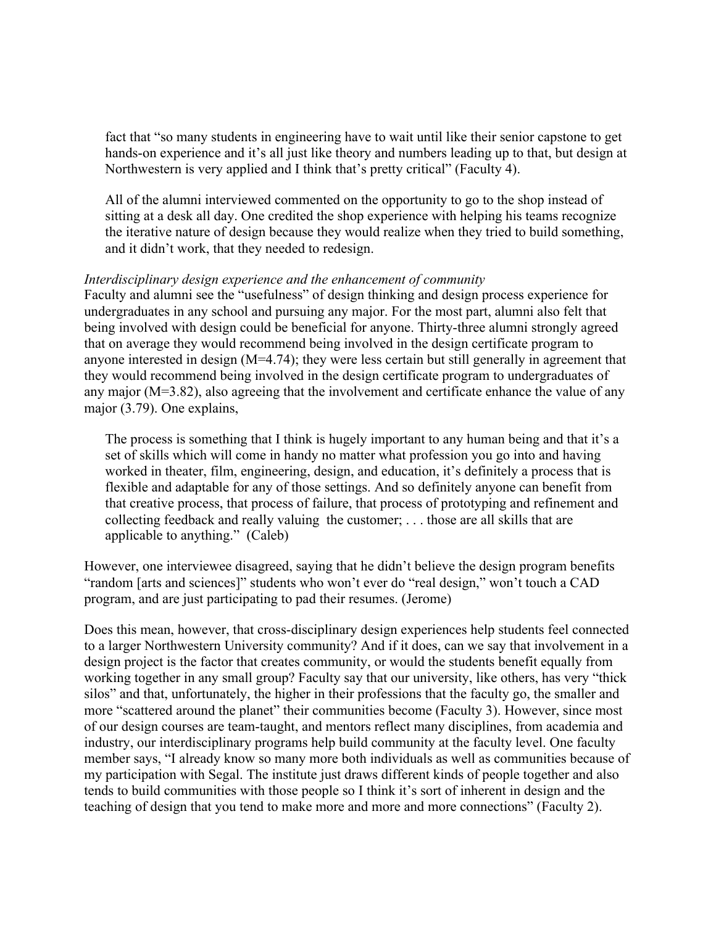fact that "so many students in engineering have to wait until like their senior capstone to get hands-on experience and it's all just like theory and numbers leading up to that, but design at Northwestern is very applied and I think that's pretty critical" (Faculty 4).

All of the alumni interviewed commented on the opportunity to go to the shop instead of sitting at a desk all day. One credited the shop experience with helping his teams recognize the iterative nature of design because they would realize when they tried to build something, and it didn't work, that they needed to redesign.

## *Interdisciplinary design experience and the enhancement of community*

Faculty and alumni see the "usefulness" of design thinking and design process experience for undergraduates in any school and pursuing any major. For the most part, alumni also felt that being involved with design could be beneficial for anyone. Thirty-three alumni strongly agreed that on average they would recommend being involved in the design certificate program to anyone interested in design (M=4.74); they were less certain but still generally in agreement that they would recommend being involved in the design certificate program to undergraduates of any major (M=3.82), also agreeing that the involvement and certificate enhance the value of any major (3.79). One explains,

The process is something that I think is hugely important to any human being and that it's a set of skills which will come in handy no matter what profession you go into and having worked in theater, film, engineering, design, and education, it's definitely a process that is flexible and adaptable for any of those settings. And so definitely anyone can benefit from that creative process, that process of failure, that process of prototyping and refinement and collecting feedback and really valuing the customer; . . . those are all skills that are applicable to anything." (Caleb)

However, one interviewee disagreed, saying that he didn't believe the design program benefits "random [arts and sciences]" students who won't ever do "real design," won't touch a CAD program, and are just participating to pad their resumes. (Jerome)

Does this mean, however, that cross-disciplinary design experiences help students feel connected to a larger Northwestern University community? And if it does, can we say that involvement in a design project is the factor that creates community, or would the students benefit equally from working together in any small group? Faculty say that our university, like others, has very "thick silos" and that, unfortunately, the higher in their professions that the faculty go, the smaller and more "scattered around the planet" their communities become (Faculty 3). However, since most of our design courses are team-taught, and mentors reflect many disciplines, from academia and industry, our interdisciplinary programs help build community at the faculty level. One faculty member says, "I already know so many more both individuals as well as communities because of my participation with Segal. The institute just draws different kinds of people together and also tends to build communities with those people so I think it's sort of inherent in design and the teaching of design that you tend to make more and more and more connections" (Faculty 2).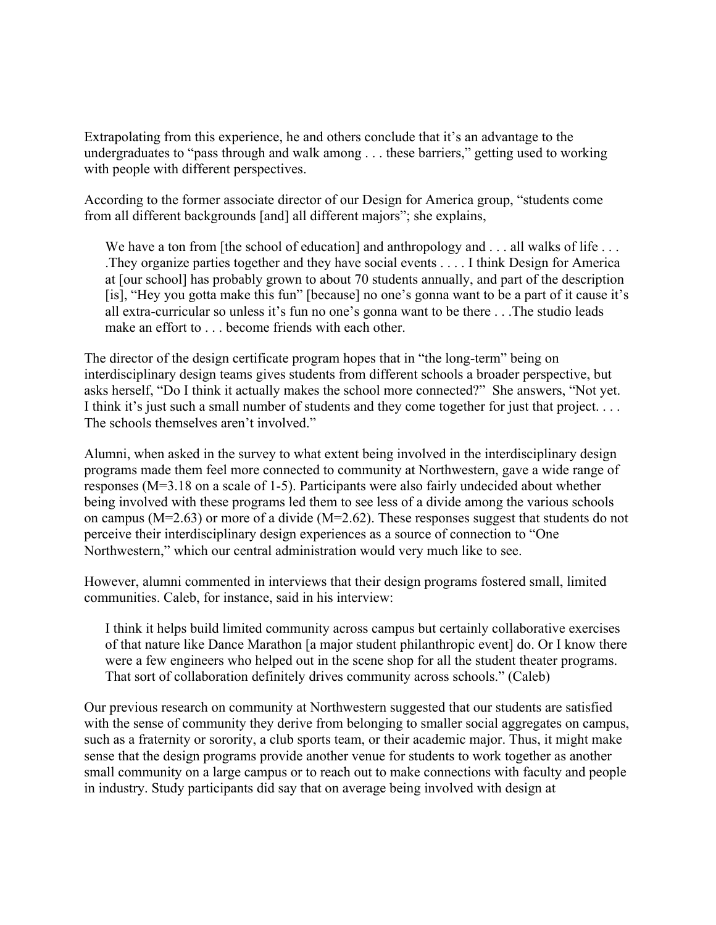Extrapolating from this experience, he and others conclude that it's an advantage to the undergraduates to "pass through and walk among . . . these barriers," getting used to working with people with different perspectives.

According to the former associate director of our Design for America group, "students come from all different backgrounds [and] all different majors"; she explains,

We have a ton from [the school of education] and anthropology and . . . all walks of life . . . .They organize parties together and they have social events . . . . I think Design for America at [our school] has probably grown to about 70 students annually, and part of the description [is], "Hey you gotta make this fun" [because] no one's gonna want to be a part of it cause it's all extra-curricular so unless it's fun no one's gonna want to be there . . .The studio leads make an effort to become friends with each other.

The director of the design certificate program hopes that in "the long-term" being on interdisciplinary design teams gives students from different schools a broader perspective, but asks herself, "Do I think it actually makes the school more connected?" She answers, "Not yet. I think it's just such a small number of students and they come together for just that project. . . . The schools themselves aren't involved."

Alumni, when asked in the survey to what extent being involved in the interdisciplinary design programs made them feel more connected to community at Northwestern, gave a wide range of responses (M=3.18 on a scale of 1-5). Participants were also fairly undecided about whether being involved with these programs led them to see less of a divide among the various schools on campus (M=2.63) or more of a divide (M=2.62). These responses suggest that students do not perceive their interdisciplinary design experiences as a source of connection to "One Northwestern," which our central administration would very much like to see.

However, alumni commented in interviews that their design programs fostered small, limited communities. Caleb, for instance, said in his interview:

I think it helps build limited community across campus but certainly collaborative exercises of that nature like Dance Marathon [a major student philanthropic event] do. Or I know there were a few engineers who helped out in the scene shop for all the student theater programs. That sort of collaboration definitely drives community across schools." (Caleb)

Our previous research on community at Northwestern suggested that our students are satisfied with the sense of community they derive from belonging to smaller social aggregates on campus, such as a fraternity or sorority, a club sports team, or their academic major. Thus, it might make sense that the design programs provide another venue for students to work together as another small community on a large campus or to reach out to make connections with faculty and people in industry. Study participants did say that on average being involved with design at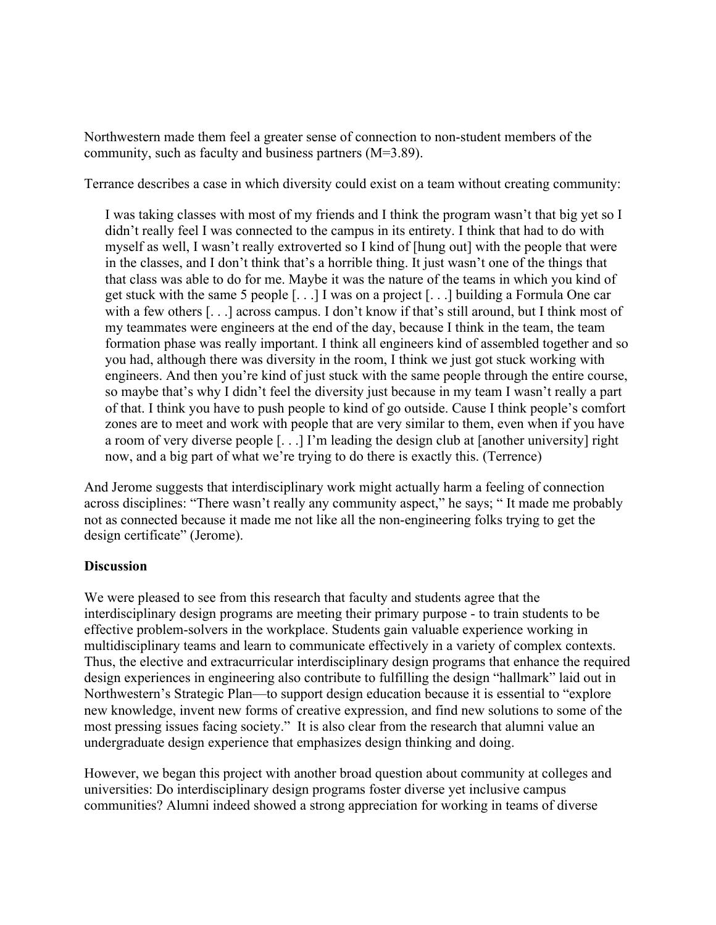Northwestern made them feel a greater sense of connection to non-student members of the community, such as faculty and business partners (M=3.89).

Terrance describes a case in which diversity could exist on a team without creating community:

I was taking classes with most of my friends and I think the program wasn't that big yet so I didn't really feel I was connected to the campus in its entirety. I think that had to do with myself as well, I wasn't really extroverted so I kind of [hung out] with the people that were in the classes, and I don't think that's a horrible thing. It just wasn't one of the things that that class was able to do for me. Maybe it was the nature of the teams in which you kind of get stuck with the same 5 people [. . .] I was on a project [. . .] building a Formula One car with a few others [...] across campus. I don't know if that's still around, but I think most of my teammates were engineers at the end of the day, because I think in the team, the team formation phase was really important. I think all engineers kind of assembled together and so you had, although there was diversity in the room, I think we just got stuck working with engineers. And then you're kind of just stuck with the same people through the entire course, so maybe that's why I didn't feel the diversity just because in my team I wasn't really a part of that. I think you have to push people to kind of go outside. Cause I think people's comfort zones are to meet and work with people that are very similar to them, even when if you have a room of very diverse people [. . .] I'm leading the design club at [another university] right now, and a big part of what we're trying to do there is exactly this. (Terrence)

And Jerome suggests that interdisciplinary work might actually harm a feeling of connection across disciplines: "There wasn't really any community aspect," he says; " It made me probably not as connected because it made me not like all the non-engineering folks trying to get the design certificate" (Jerome).

# **Discussion**

We were pleased to see from this research that faculty and students agree that the interdisciplinary design programs are meeting their primary purpose - to train students to be effective problem-solvers in the workplace. Students gain valuable experience working in multidisciplinary teams and learn to communicate effectively in a variety of complex contexts. Thus, the elective and extracurricular interdisciplinary design programs that enhance the required design experiences in engineering also contribute to fulfilling the design "hallmark" laid out in Northwestern's Strategic Plan—to support design education because it is essential to "explore new knowledge, invent new forms of creative expression, and find new solutions to some of the most pressing issues facing society." It is also clear from the research that alumni value an undergraduate design experience that emphasizes design thinking and doing.

However, we began this project with another broad question about community at colleges and universities: Do interdisciplinary design programs foster diverse yet inclusive campus communities? Alumni indeed showed a strong appreciation for working in teams of diverse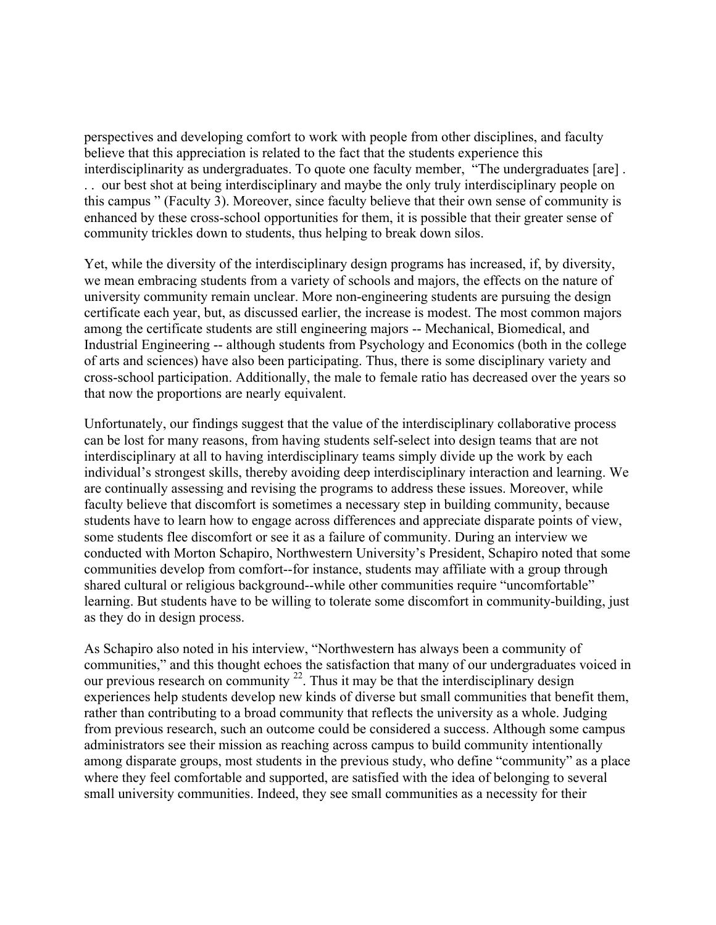perspectives and developing comfort to work with people from other disciplines, and faculty believe that this appreciation is related to the fact that the students experience this interdisciplinarity as undergraduates. To quote one faculty member, "The undergraduates [are] . . . our best shot at being interdisciplinary and maybe the only truly interdisciplinary people on this campus " (Faculty 3). Moreover, since faculty believe that their own sense of community is enhanced by these cross-school opportunities for them, it is possible that their greater sense of community trickles down to students, thus helping to break down silos.

Yet, while the diversity of the interdisciplinary design programs has increased, if, by diversity, we mean embracing students from a variety of schools and majors, the effects on the nature of university community remain unclear. More non-engineering students are pursuing the design certificate each year, but, as discussed earlier, the increase is modest. The most common majors among the certificate students are still engineering majors -- Mechanical, Biomedical, and Industrial Engineering -- although students from Psychology and Economics (both in the college of arts and sciences) have also been participating. Thus, there is some disciplinary variety and cross-school participation. Additionally, the male to female ratio has decreased over the years so that now the proportions are nearly equivalent.

Unfortunately, our findings suggest that the value of the interdisciplinary collaborative process can be lost for many reasons, from having students self-select into design teams that are not interdisciplinary at all to having interdisciplinary teams simply divide up the work by each individual's strongest skills, thereby avoiding deep interdisciplinary interaction and learning. We are continually assessing and revising the programs to address these issues. Moreover, while faculty believe that discomfort is sometimes a necessary step in building community, because students have to learn how to engage across differences and appreciate disparate points of view, some students flee discomfort or see it as a failure of community. During an interview we conducted with Morton Schapiro, Northwestern University's President, Schapiro noted that some communities develop from comfort--for instance, students may affiliate with a group through shared cultural or religious background--while other communities require "uncomfortable" learning. But students have to be willing to tolerate some discomfort in community-building, just as they do in design process.

As Schapiro also noted in his interview, "Northwestern has always been a community of communities," and this thought echoes the satisfaction that many of our undergraduates voiced in our previous research on community  $^{22}$ . Thus it may be that the interdisciplinary design experiences help students develop new kinds of diverse but small communities that benefit them, rather than contributing to a broad community that reflects the university as a whole. Judging from previous research, such an outcome could be considered a success. Although some campus administrators see their mission as reaching across campus to build community intentionally among disparate groups, most students in the previous study, who define "community" as a place where they feel comfortable and supported, are satisfied with the idea of belonging to several small university communities. Indeed, they see small communities as a necessity for their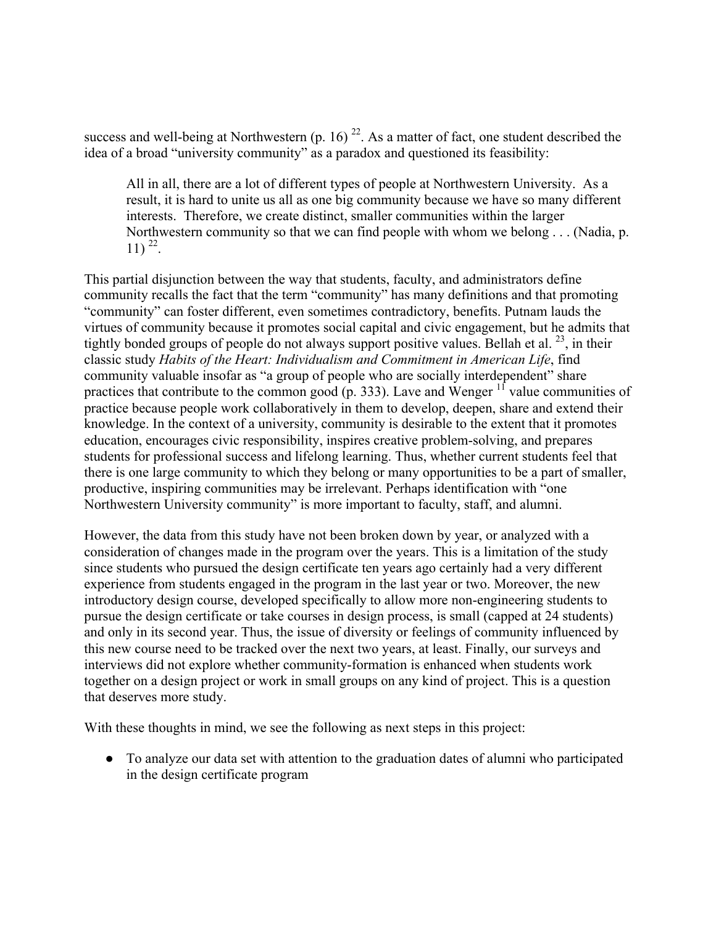success and well-being at Northwestern (p. 16)  $^{22}$ . As a matter of fact, one student described the idea of a broad "university community" as a paradox and questioned its feasibility:

All in all, there are a lot of different types of people at Northwestern University. As a result, it is hard to unite us all as one big community because we have so many different interests. Therefore, we create distinct, smaller communities within the larger Northwestern community so that we can find people with whom we belong . . . (Nadia, p.  $11)$   $^{22}$ .

This partial disjunction between the way that students, faculty, and administrators define community recalls the fact that the term "community" has many definitions and that promoting "community" can foster different, even sometimes contradictory, benefits. Putnam lauds the virtues of community because it promotes social capital and civic engagement, but he admits that tightly bonded groups of people do not always support positive values. Bellah et al.  $^{23}$ , in their classic study *Habits of the Heart: Individualism and Commitment in American Life*, find community valuable insofar as "a group of people who are socially interdependent" share practices that contribute to the common good  $(p. 333)$ . Lave and Wenger  $11$  value communities of practice because people work collaboratively in them to develop, deepen, share and extend their knowledge. In the context of a university, community is desirable to the extent that it promotes education, encourages civic responsibility, inspires creative problem-solving, and prepares students for professional success and lifelong learning. Thus, whether current students feel that there is one large community to which they belong or many opportunities to be a part of smaller, productive, inspiring communities may be irrelevant. Perhaps identification with "one Northwestern University community" is more important to faculty, staff, and alumni.

However, the data from this study have not been broken down by year, or analyzed with a consideration of changes made in the program over the years. This is a limitation of the study since students who pursued the design certificate ten years ago certainly had a very different experience from students engaged in the program in the last year or two. Moreover, the new introductory design course, developed specifically to allow more non-engineering students to pursue the design certificate or take courses in design process, is small (capped at 24 students) and only in its second year. Thus, the issue of diversity or feelings of community influenced by this new course need to be tracked over the next two years, at least. Finally, our surveys and interviews did not explore whether community-formation is enhanced when students work together on a design project or work in small groups on any kind of project. This is a question that deserves more study.

With these thoughts in mind, we see the following as next steps in this project:

● To analyze our data set with attention to the graduation dates of alumni who participated in the design certificate program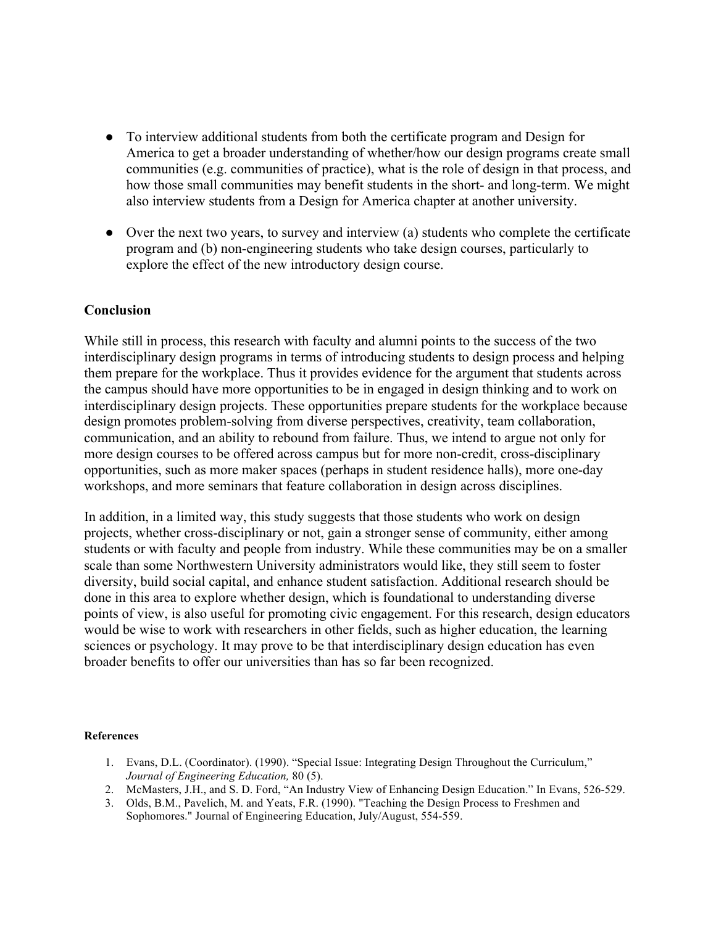- To interview additional students from both the certificate program and Design for America to get a broader understanding of whether/how our design programs create small communities (e.g. communities of practice), what is the role of design in that process, and how those small communities may benefit students in the short- and long-term. We might also interview students from a Design for America chapter at another university.
- Over the next two years, to survey and interview (a) students who complete the certificate program and (b) non-engineering students who take design courses, particularly to explore the effect of the new introductory design course.

# **Conclusion**

While still in process, this research with faculty and alumni points to the success of the two interdisciplinary design programs in terms of introducing students to design process and helping them prepare for the workplace. Thus it provides evidence for the argument that students across the campus should have more opportunities to be in engaged in design thinking and to work on interdisciplinary design projects. These opportunities prepare students for the workplace because design promotes problem-solving from diverse perspectives, creativity, team collaboration, communication, and an ability to rebound from failure. Thus, we intend to argue not only for more design courses to be offered across campus but for more non-credit, cross-disciplinary opportunities, such as more maker spaces (perhaps in student residence halls), more one-day workshops, and more seminars that feature collaboration in design across disciplines.

In addition, in a limited way, this study suggests that those students who work on design projects, whether cross-disciplinary or not, gain a stronger sense of community, either among students or with faculty and people from industry. While these communities may be on a smaller scale than some Northwestern University administrators would like, they still seem to foster diversity, build social capital, and enhance student satisfaction. Additional research should be done in this area to explore whether design, which is foundational to understanding diverse points of view, is also useful for promoting civic engagement. For this research, design educators would be wise to work with researchers in other fields, such as higher education, the learning sciences or psychology. It may prove to be that interdisciplinary design education has even broader benefits to offer our universities than has so far been recognized.

## **References**

- 1. Evans, D.L. (Coordinator). (1990). "Special Issue: Integrating Design Throughout the Curriculum," *Journal of Engineering Education,* 80 (5).
- 2. McMasters, J.H., and S. D. Ford, "An Industry View of Enhancing Design Education." In Evans, 526-529.
- 3. Olds, B.M., Pavelich, M. and Yeats, F.R. (1990). "Teaching the Design Process to Freshmen and Sophomores." Journal of Engineering Education, July/August, 554-559.